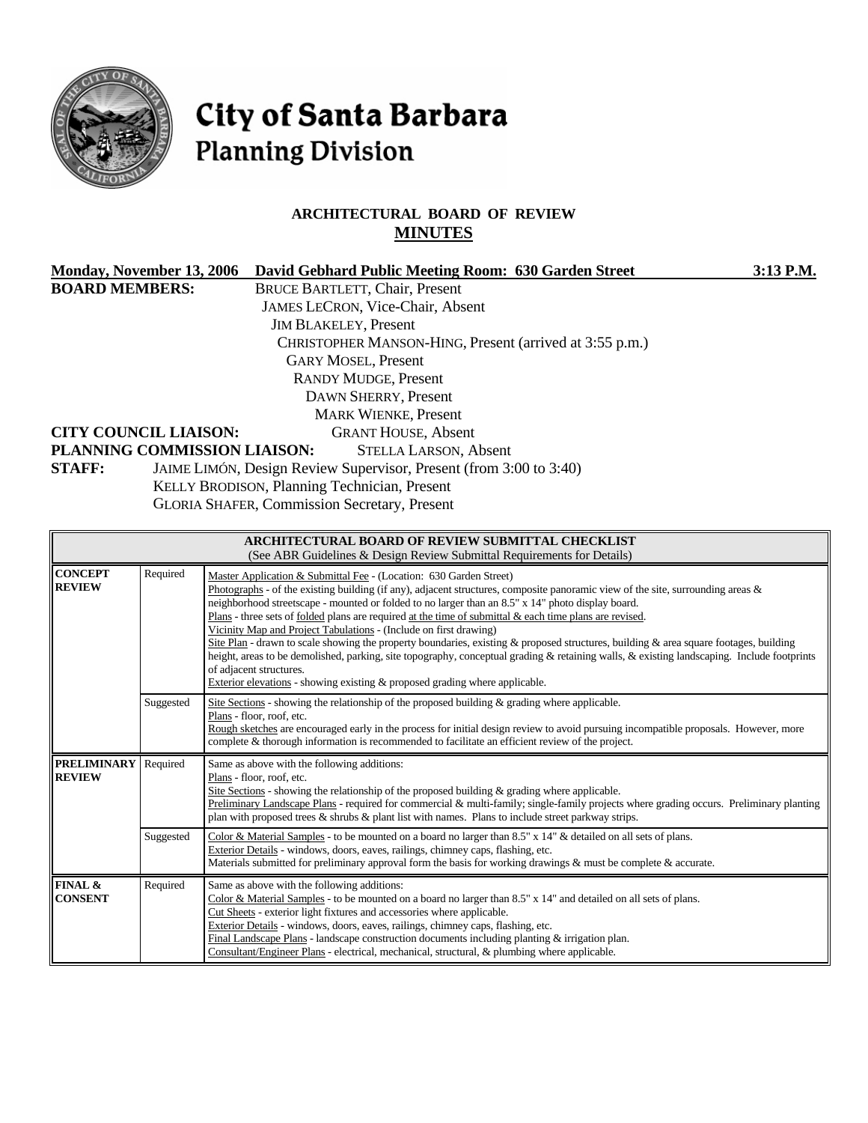

# City of Santa Barbara **Planning Division**

# **ARCHITECTURAL BOARD OF REVIEW MINUTES**

| <b>Monday, November 13, 2006</b> |           | David Gebhard Public Meeting Room: 630 Garden Street                                                                                                                                                                                                                                                                     | 3:13 P.M. |  |  |  |  |
|----------------------------------|-----------|--------------------------------------------------------------------------------------------------------------------------------------------------------------------------------------------------------------------------------------------------------------------------------------------------------------------------|-----------|--|--|--|--|
| <b>BOARD MEMBERS:</b>            |           | <b>BRUCE BARTLETT, Chair, Present</b>                                                                                                                                                                                                                                                                                    |           |  |  |  |  |
|                                  |           | JAMES LECRON, Vice-Chair, Absent                                                                                                                                                                                                                                                                                         |           |  |  |  |  |
|                                  |           | <b>JIM BLAKELEY, Present</b>                                                                                                                                                                                                                                                                                             |           |  |  |  |  |
|                                  |           | CHRISTOPHER MANSON-HING, Present (arrived at 3:55 p.m.)                                                                                                                                                                                                                                                                  |           |  |  |  |  |
|                                  |           | <b>GARY MOSEL, Present</b>                                                                                                                                                                                                                                                                                               |           |  |  |  |  |
|                                  |           | <b>RANDY MUDGE, Present</b>                                                                                                                                                                                                                                                                                              |           |  |  |  |  |
|                                  |           | DAWN SHERRY, Present                                                                                                                                                                                                                                                                                                     |           |  |  |  |  |
|                                  |           | <b>MARK WIENKE, Present</b>                                                                                                                                                                                                                                                                                              |           |  |  |  |  |
| <b>CITY COUNCIL LIAISON:</b>     |           | <b>GRANT HOUSE, Absent</b>                                                                                                                                                                                                                                                                                               |           |  |  |  |  |
|                                  |           | PLANNING COMMISSION LIAISON:<br><b>STELLA LARSON, Absent</b>                                                                                                                                                                                                                                                             |           |  |  |  |  |
| <b>STAFF:</b>                    |           | JAIME LIMÓN, Design Review Supervisor, Present (from 3:00 to 3:40)                                                                                                                                                                                                                                                       |           |  |  |  |  |
|                                  |           | KELLY BRODISON, Planning Technician, Present                                                                                                                                                                                                                                                                             |           |  |  |  |  |
|                                  |           | <b>GLORIA SHAFER, Commission Secretary, Present</b>                                                                                                                                                                                                                                                                      |           |  |  |  |  |
|                                  |           |                                                                                                                                                                                                                                                                                                                          |           |  |  |  |  |
|                                  |           | ARCHITECTURAL BOARD OF REVIEW SUBMITTAL CHECKLIST<br>(See ABR Guidelines & Design Review Submittal Requirements for Details)                                                                                                                                                                                             |           |  |  |  |  |
| <b>CONCEPT</b>                   | Required  | Master Application & Submittal Fee - (Location: 630 Garden Street)                                                                                                                                                                                                                                                       |           |  |  |  |  |
| <b>REVIEW</b>                    |           | Photographs - of the existing building (if any), adjacent structures, composite panoramic view of the site, surrounding areas &                                                                                                                                                                                          |           |  |  |  |  |
|                                  |           | neighborhood streetscape - mounted or folded to no larger than an 8.5" x 14" photo display board.                                                                                                                                                                                                                        |           |  |  |  |  |
|                                  |           | Plans - three sets of folded plans are required at the time of submittal $\&$ each time plans are revised.<br>Vicinity Map and Project Tabulations - (Include on first drawing)<br>Site Plan - drawn to scale showing the property boundaries, existing & proposed structures, building & area square footages, building |           |  |  |  |  |
|                                  |           |                                                                                                                                                                                                                                                                                                                          |           |  |  |  |  |
|                                  |           | height, areas to be demolished, parking, site topography, conceptual grading & retaining walls, & existing landscaping. Include footprints                                                                                                                                                                               |           |  |  |  |  |
|                                  |           | of adjacent structures.<br>Exterior elevations - showing existing & proposed grading where applicable.                                                                                                                                                                                                                   |           |  |  |  |  |
|                                  | Suggested | Site Sections - showing the relationship of the proposed building $\&$ grading where applicable.                                                                                                                                                                                                                         |           |  |  |  |  |
|                                  |           | Plans - floor, roof, etc.                                                                                                                                                                                                                                                                                                |           |  |  |  |  |
|                                  |           | Rough sketches are encouraged early in the process for initial design review to avoid pursuing incompatible proposals. However, more                                                                                                                                                                                     |           |  |  |  |  |
|                                  |           | complete & thorough information is recommended to facilitate an efficient review of the project.                                                                                                                                                                                                                         |           |  |  |  |  |
| <b>PRELIMINARY</b>               | Required  | Same as above with the following additions:<br>Plans - floor, roof, etc.                                                                                                                                                                                                                                                 |           |  |  |  |  |
| <b>REVIEW</b>                    |           | Site Sections - showing the relationship of the proposed building $\&$ grading where applicable.                                                                                                                                                                                                                         |           |  |  |  |  |
|                                  |           | Preliminary Landscape Plans - required for commercial & multi-family; single-family projects where grading occurs. Preliminary planting                                                                                                                                                                                  |           |  |  |  |  |
|                                  |           | plan with proposed trees $\&$ shrubs $\&$ plant list with names. Plans to include street parkway strips.                                                                                                                                                                                                                 |           |  |  |  |  |
|                                  | Suggested | Color & Material Samples - to be mounted on a board no larger than 8.5" x 14" & detailed on all sets of plans.                                                                                                                                                                                                           |           |  |  |  |  |
|                                  |           | Exterior Details - windows, doors, eaves, railings, chimney caps, flashing, etc.<br>Materials submitted for preliminary approval form the basis for working drawings & must be complete & accurate.                                                                                                                      |           |  |  |  |  |
| <b>FINAL &amp;</b>               | Required  | Same as above with the following additions:                                                                                                                                                                                                                                                                              |           |  |  |  |  |
| <b>CONSENT</b>                   |           | Color & Material Samples - to be mounted on a board no larger than 8.5" x 14" and detailed on all sets of plans.                                                                                                                                                                                                         |           |  |  |  |  |
|                                  |           | Cut Sheets - exterior light fixtures and accessories where applicable.<br>Exterior Details - windows, doors, eaves, railings, chimney caps, flashing, etc.                                                                                                                                                               |           |  |  |  |  |
|                                  |           | Final Landscape Plans - landscape construction documents including planting $&$ irrigation plan.                                                                                                                                                                                                                         |           |  |  |  |  |

Consultant/Engineer Plans - electrical, mechanical, structural, & plumbing where applicable.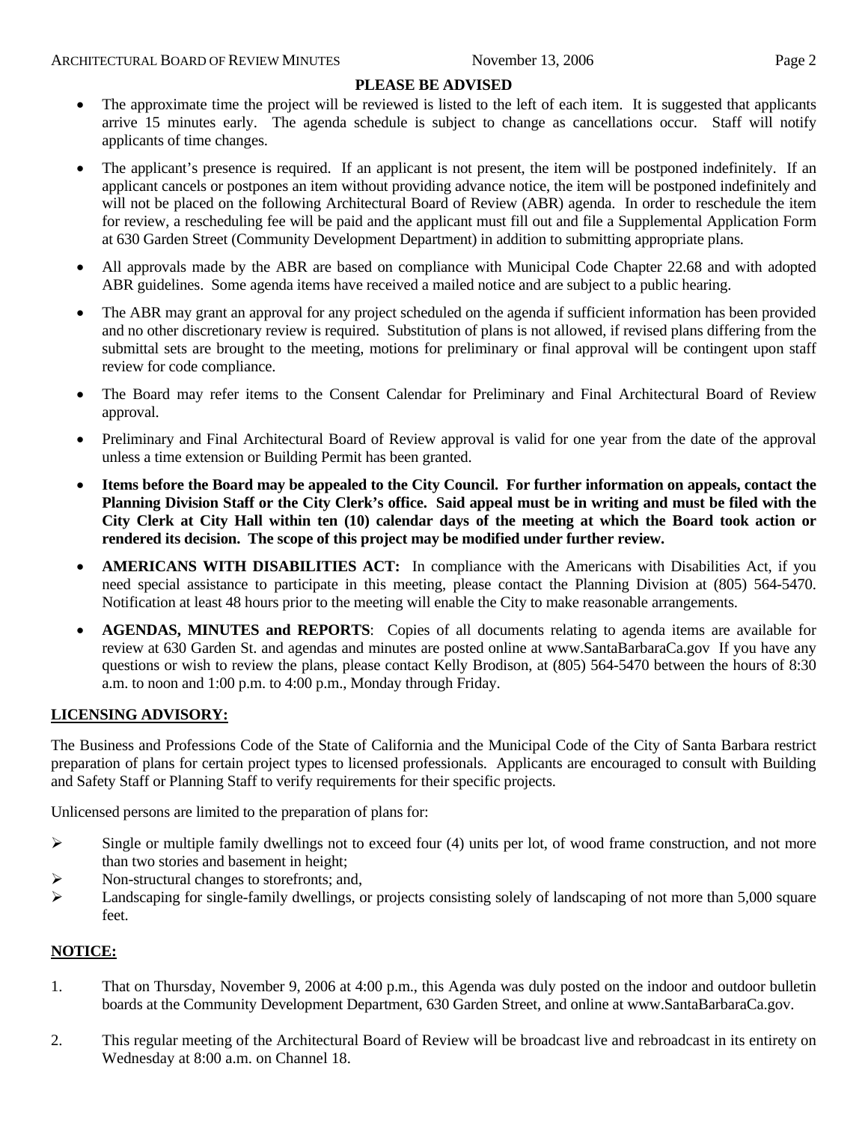#### **PLEASE BE ADVISED**

- The approximate time the project will be reviewed is listed to the left of each item. It is suggested that applicants arrive 15 minutes early. The agenda schedule is subject to change as cancellations occur. Staff will notify applicants of time changes.
- The applicant's presence is required. If an applicant is not present, the item will be postponed indefinitely. If an applicant cancels or postpones an item without providing advance notice, the item will be postponed indefinitely and will not be placed on the following Architectural Board of Review (ABR) agenda. In order to reschedule the item for review, a rescheduling fee will be paid and the applicant must fill out and file a Supplemental Application Form at 630 Garden Street (Community Development Department) in addition to submitting appropriate plans.
- All approvals made by the ABR are based on compliance with Municipal Code Chapter 22.68 and with adopted ABR guidelines. Some agenda items have received a mailed notice and are subject to a public hearing.
- The ABR may grant an approval for any project scheduled on the agenda if sufficient information has been provided and no other discretionary review is required. Substitution of plans is not allowed, if revised plans differing from the submittal sets are brought to the meeting, motions for preliminary or final approval will be contingent upon staff review for code compliance.
- The Board may refer items to the Consent Calendar for Preliminary and Final Architectural Board of Review approval.
- Preliminary and Final Architectural Board of Review approval is valid for one year from the date of the approval unless a time extension or Building Permit has been granted.
- **Items before the Board may be appealed to the City Council. For further information on appeals, contact the Planning Division Staff or the City Clerk's office. Said appeal must be in writing and must be filed with the City Clerk at City Hall within ten (10) calendar days of the meeting at which the Board took action or rendered its decision. The scope of this project may be modified under further review.**
- **AMERICANS WITH DISABILITIES ACT:** In compliance with the Americans with Disabilities Act, if you need special assistance to participate in this meeting, please contact the Planning Division at (805) 564-5470. Notification at least 48 hours prior to the meeting will enable the City to make reasonable arrangements.
- **AGENDAS, MINUTES and REPORTS**: Copies of all documents relating to agenda items are available for review at 630 Garden St. and agendas and minutes are posted online at [www.SantaBarbaraCa.gov](http://www.santabarbaraca.gov/) If you have any questions or wish to review the plans, please contact Kelly Brodison, at (805) 564-5470 between the hours of 8:30 a.m. to noon and 1:00 p.m. to 4:00 p.m., Monday through Friday.

## **LICENSING ADVISORY:**

The Business and Professions Code of the State of California and the Municipal Code of the City of Santa Barbara restrict preparation of plans for certain project types to licensed professionals. Applicants are encouraged to consult with Building and Safety Staff or Planning Staff to verify requirements for their specific projects.

Unlicensed persons are limited to the preparation of plans for:

- $\triangleright$  Single or multiple family dwellings not to exceed four (4) units per lot, of wood frame construction, and not more than two stories and basement in height;
- ¾ Non-structural changes to storefronts; and,
- ¾ Landscaping for single-family dwellings, or projects consisting solely of landscaping of not more than 5,000 square feet.

#### **NOTICE:**

- 1. That on Thursday, November 9, 2006 at 4:00 p.m., this Agenda was duly posted on the indoor and outdoor bulletin boards at the Community Development Department, 630 Garden Street, and online at www.SantaBarbaraCa.gov.
- 2. This regular meeting of the Architectural Board of Review will be broadcast live and rebroadcast in its entirety on Wednesday at 8:00 a.m. on Channel 18.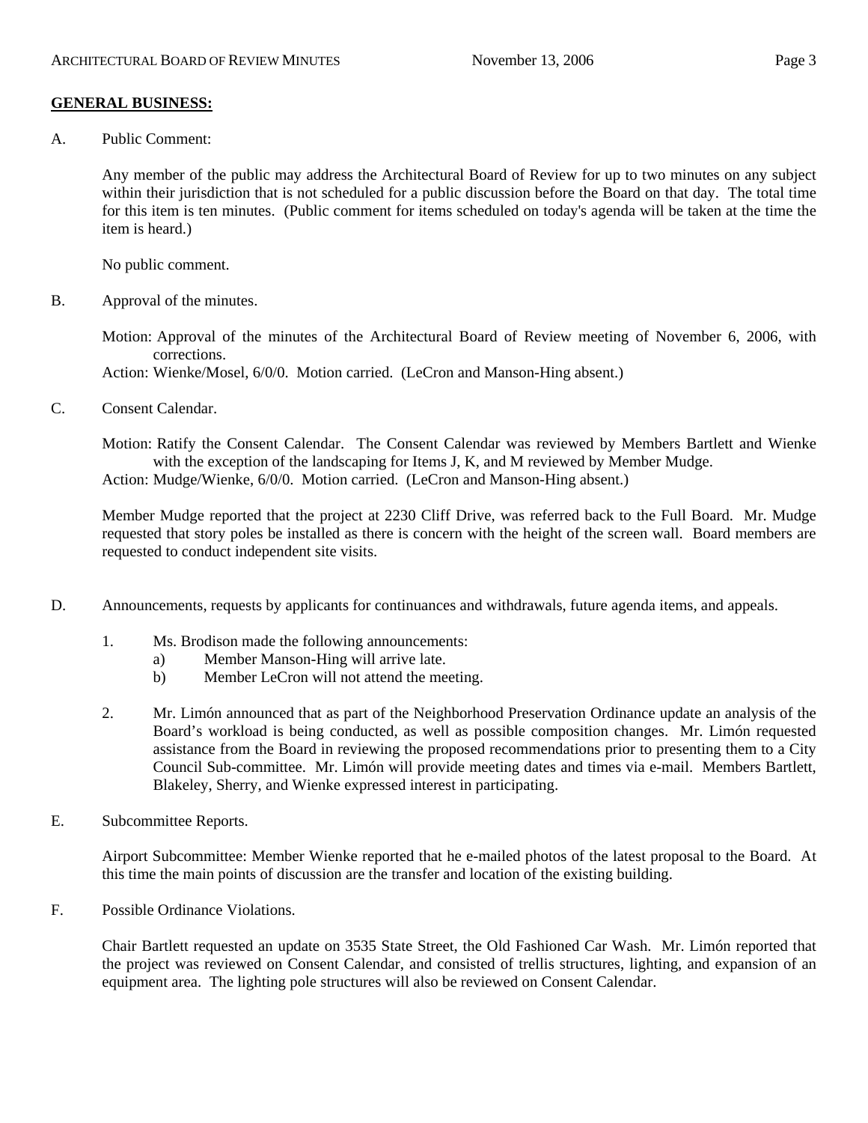#### **GENERAL BUSINESS:**

A. Public Comment:

Any member of the public may address the Architectural Board of Review for up to two minutes on any subject within their jurisdiction that is not scheduled for a public discussion before the Board on that day. The total time for this item is ten minutes. (Public comment for items scheduled on today's agenda will be taken at the time the item is heard.)

No public comment.

B. Approval of the minutes.

Motion: Approval of the minutes of the Architectural Board of Review meeting of November 6, 2006, with corrections.

Action: Wienke/Mosel, 6/0/0. Motion carried. (LeCron and Manson-Hing absent.)

C. Consent Calendar.

Motion: Ratify the Consent Calendar. The Consent Calendar was reviewed by Members Bartlett and Wienke with the exception of the landscaping for Items J, K, and M reviewed by Member Mudge. Action: Mudge/Wienke, 6/0/0. Motion carried. (LeCron and Manson-Hing absent.)

Member Mudge reported that the project at 2230 Cliff Drive, was referred back to the Full Board. Mr. Mudge requested that story poles be installed as there is concern with the height of the screen wall. Board members are requested to conduct independent site visits.

- D. Announcements, requests by applicants for continuances and withdrawals, future agenda items, and appeals.
	- 1. Ms. Brodison made the following announcements:
		- a) Member Manson-Hing will arrive late.
		- b) Member LeCron will not attend the meeting.
	- 2. Mr. Limón announced that as part of the Neighborhood Preservation Ordinance update an analysis of the Board's workload is being conducted, as well as possible composition changes. Mr. Limón requested assistance from the Board in reviewing the proposed recommendations prior to presenting them to a City Council Sub-committee. Mr. Limón will provide meeting dates and times via e-mail. Members Bartlett, Blakeley, Sherry, and Wienke expressed interest in participating.
- E. Subcommittee Reports.

Airport Subcommittee: Member Wienke reported that he e-mailed photos of the latest proposal to the Board. At this time the main points of discussion are the transfer and location of the existing building.

F. Possible Ordinance Violations.

Chair Bartlett requested an update on 3535 State Street, the Old Fashioned Car Wash. Mr. Limón reported that the project was reviewed on Consent Calendar, and consisted of trellis structures, lighting, and expansion of an equipment area. The lighting pole structures will also be reviewed on Consent Calendar.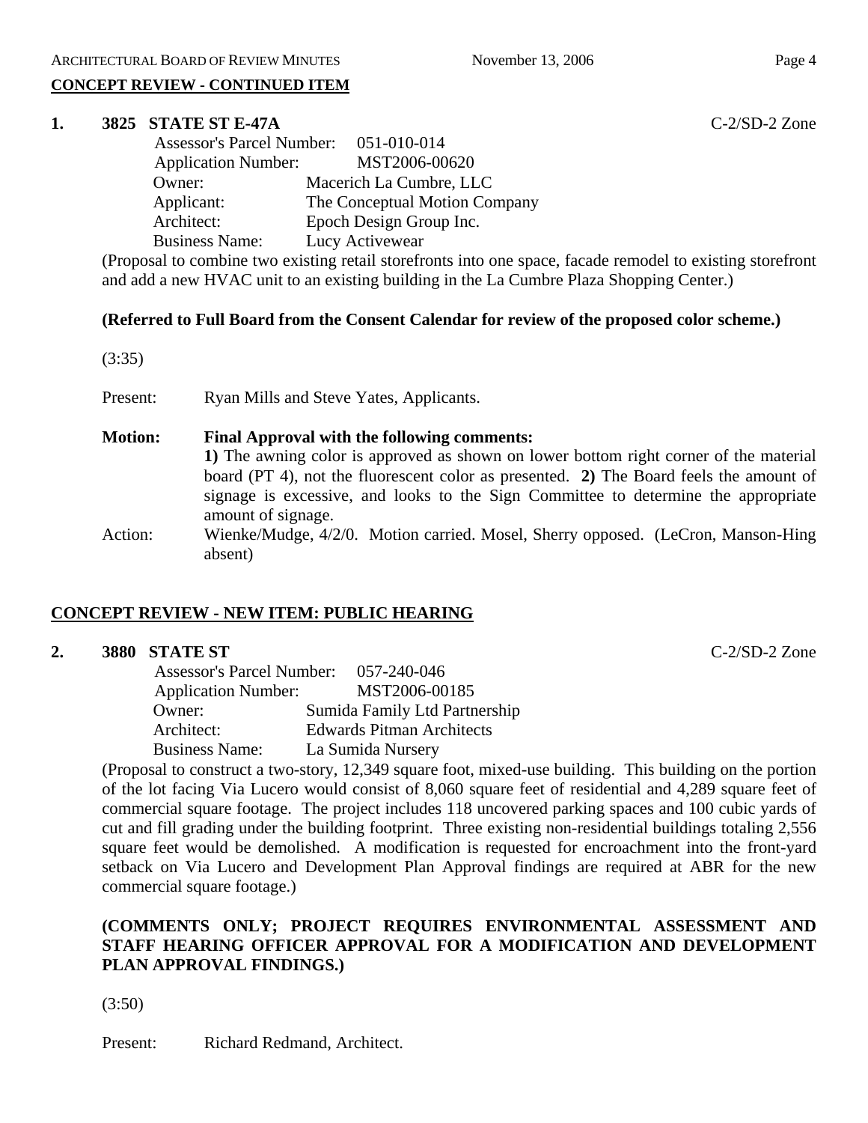## **CONCEPT REVIEW - CONTINUED ITEM**

#### **1. 3825 STATE ST E-47A** C-2/SD-2 Zone

|                            | Assessor's Parcel Number: 051-010-014 |
|----------------------------|---------------------------------------|
| <b>Application Number:</b> | MST2006-00620                         |
| Owner:                     | Macerich La Cumbre, LLC               |
| Applicant:                 | The Conceptual Motion Company         |
| Architect:                 | Epoch Design Group Inc.               |
| <b>Business Name:</b>      | Lucy Activewear                       |
|                            |                                       |

(Proposal to combine two existing retail storefronts into one space, facade remodel to existing storefront and add a new HVAC unit to an existing building in the La Cumbre Plaza Shopping Center.)

## **(Referred to Full Board from the Consent Calendar for review of the proposed color scheme.)**

(3:35)

Present: Ryan Mills and Steve Yates, Applicants.

## **Motion: Final Approval with the following comments:**

**1)** The awning color is approved as shown on lower bottom right corner of the material board (PT 4), not the fluorescent color as presented. **2)** The Board feels the amount of signage is excessive, and looks to the Sign Committee to determine the appropriate amount of signage.

Action: Wienke/Mudge, 4/2/0. Motion carried. Mosel, Sherry opposed. (LeCron, Manson-Hing absent)

# **CONCEPT REVIEW - NEW ITEM: PUBLIC HEARING**

#### **2. 3880 STATE ST** C-2/SD-2 Zone

| <b>Assessor's Parcel Number:</b> | 057-240-046                      |
|----------------------------------|----------------------------------|
| <b>Application Number:</b>       | MST2006-00185                    |
| Owner:                           | Sumida Family Ltd Partnership    |
| Architect:                       | <b>Edwards Pitman Architects</b> |
| <b>Business Name:</b>            | La Sumida Nursery                |

(Proposal to construct a two-story, 12,349 square foot, mixed-use building. This building on the portion of the lot facing Via Lucero would consist of 8,060 square feet of residential and 4,289 square feet of commercial square footage. The project includes 118 uncovered parking spaces and 100 cubic yards of cut and fill grading under the building footprint. Three existing non-residential buildings totaling 2,556 square feet would be demolished. A modification is requested for encroachment into the front-yard setback on Via Lucero and Development Plan Approval findings are required at ABR for the new commercial square footage.)

## **(COMMENTS ONLY; PROJECT REQUIRES ENVIRONMENTAL ASSESSMENT AND STAFF HEARING OFFICER APPROVAL FOR A MODIFICATION AND DEVELOPMENT PLAN APPROVAL FINDINGS.)**

(3:50)

Present: Richard Redmand, Architect.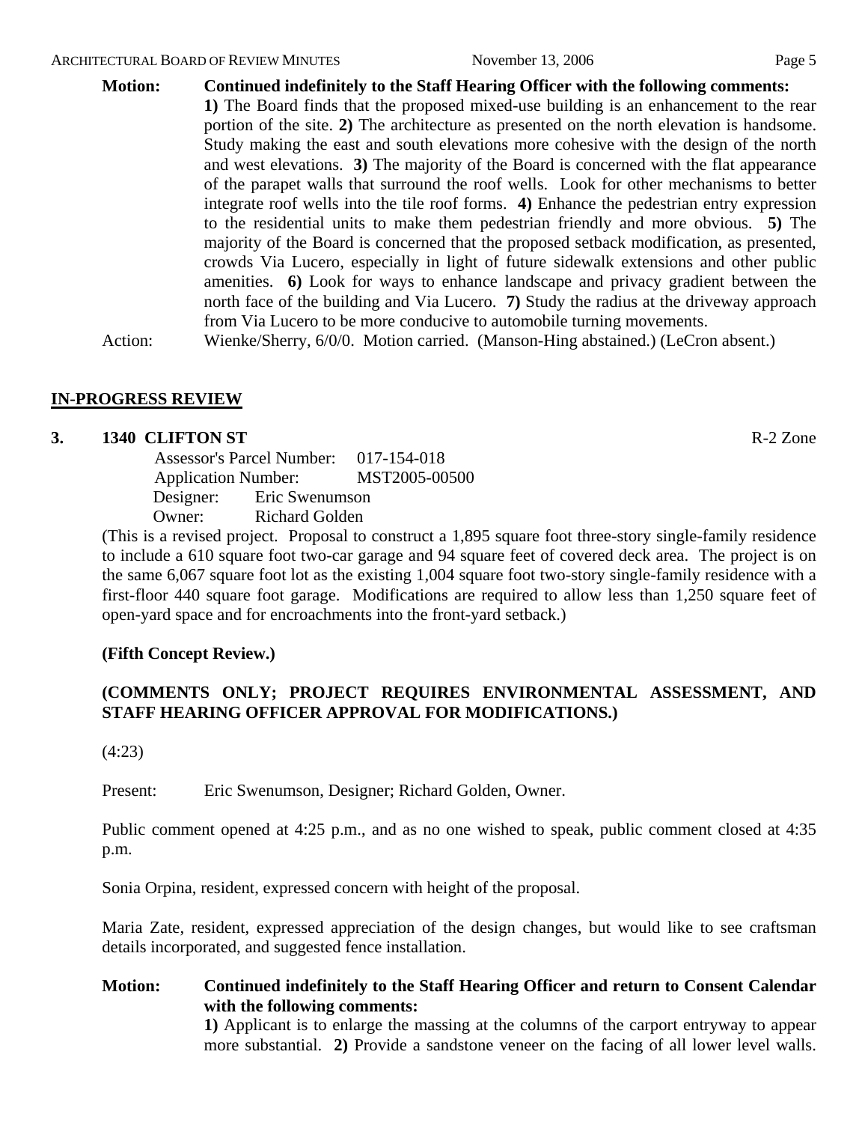**Motion: Continued indefinitely to the Staff Hearing Officer with the following comments: 1)** The Board finds that the proposed mixed-use building is an enhancement to the rear portion of the site. **2)** The architecture as presented on the north elevation is handsome. Study making the east and south elevations more cohesive with the design of the north and west elevations. **3)** The majority of the Board is concerned with the flat appearance of the parapet walls that surround the roof wells. Look for other mechanisms to better integrate roof wells into the tile roof forms. **4)** Enhance the pedestrian entry expression to the residential units to make them pedestrian friendly and more obvious. **5)** The majority of the Board is concerned that the proposed setback modification, as presented, crowds Via Lucero, especially in light of future sidewalk extensions and other public amenities. **6)** Look for ways to enhance landscape and privacy gradient between the north face of the building and Via Lucero. **7)** Study the radius at the driveway approach from Via Lucero to be more conducive to automobile turning movements.

Action: Wienke/Sherry, 6/0/0. Motion carried. (Manson-Hing abstained.) (LeCron absent.)

## **IN-PROGRESS REVIEW**

#### **3. 1340 CLIFTON ST** R-2 Zone

 Assessor's Parcel Number: 017-154-018 Application Number: MST2005-00500 Designer: Eric Swenumson Owner: Richard Golden

(This is a revised project. Proposal to construct a 1,895 square foot three-story single-family residence to include a 610 square foot two-car garage and 94 square feet of covered deck area. The project is on the same 6,067 square foot lot as the existing 1,004 square foot two-story single-family residence with a first-floor 440 square foot garage. Modifications are required to allow less than 1,250 square feet of open-yard space and for encroachments into the front-yard setback.)

## **(Fifth Concept Review.)**

## **(COMMENTS ONLY; PROJECT REQUIRES ENVIRONMENTAL ASSESSMENT, AND STAFF HEARING OFFICER APPROVAL FOR MODIFICATIONS.)**

(4:23)

Present: Eric Swenumson, Designer; Richard Golden, Owner.

Public comment opened at 4:25 p.m., and as no one wished to speak, public comment closed at 4:35 p.m.

Sonia Orpina, resident, expressed concern with height of the proposal.

Maria Zate, resident, expressed appreciation of the design changes, but would like to see craftsman details incorporated, and suggested fence installation.

# **Motion: Continued indefinitely to the Staff Hearing Officer and return to Consent Calendar with the following comments:**

**1)** Applicant is to enlarge the massing at the columns of the carport entryway to appear more substantial. **2)** Provide a sandstone veneer on the facing of all lower level walls.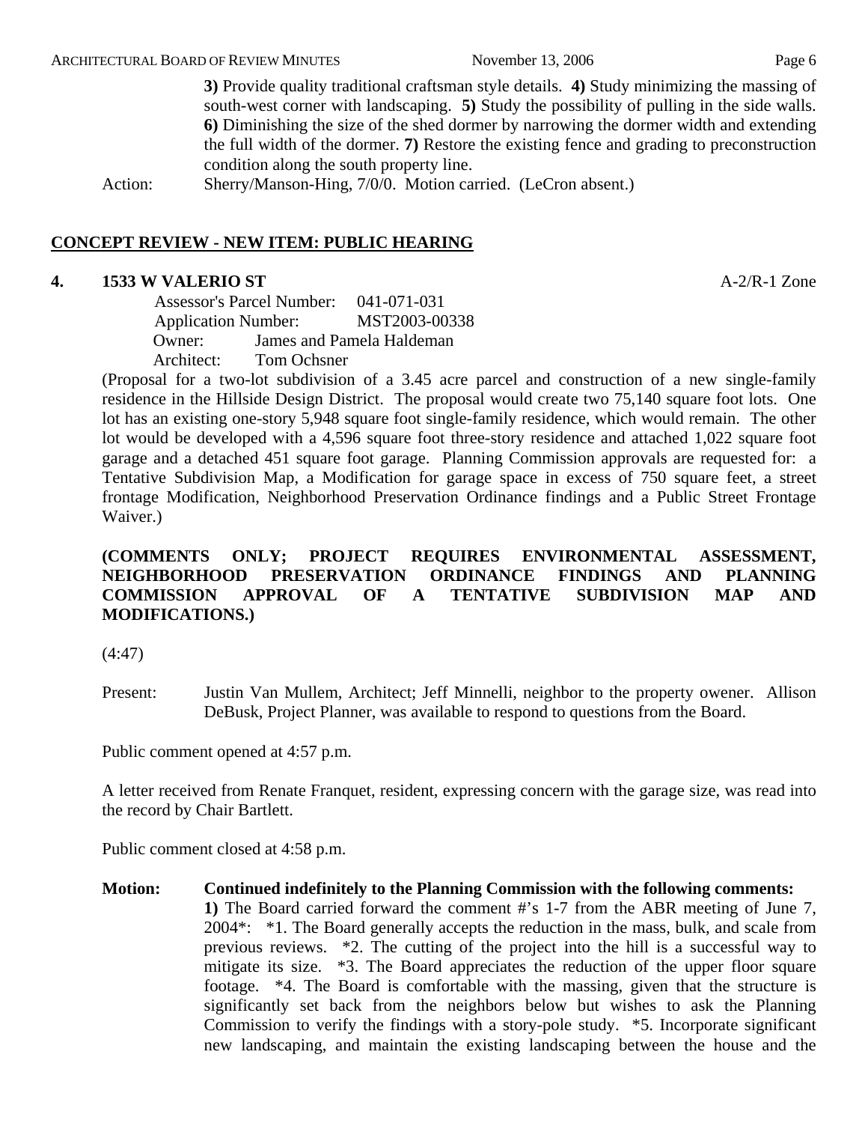**3)** Provide quality traditional craftsman style details. **4)** Study minimizing the massing of south-west corner with landscaping. **5)** Study the possibility of pulling in the side walls. **6)** Diminishing the size of the shed dormer by narrowing the dormer width and extending the full width of the dormer. **7)** Restore the existing fence and grading to preconstruction condition along the south property line.

Action: Sherry/Manson-Hing, 7/0/0. Motion carried. (LeCron absent.)

#### **CONCEPT REVIEW - NEW ITEM: PUBLIC HEARING**

#### **4. 1533 W VALERIO ST** A-2/R-1 Zone

 Assessor's Parcel Number: 041-071-031 Application Number: MST2003-00338 Owner: James and Pamela Haldeman Architect: Tom Ochsner

(Proposal for a two-lot subdivision of a 3.45 acre parcel and construction of a new single-family residence in the Hillside Design District. The proposal would create two 75,140 square foot lots. One lot has an existing one-story 5,948 square foot single-family residence, which would remain. The other lot would be developed with a 4,596 square foot three-story residence and attached 1,022 square foot garage and a detached 451 square foot garage. Planning Commission approvals are requested for: a Tentative Subdivision Map, a Modification for garage space in excess of 750 square feet, a street frontage Modification, Neighborhood Preservation Ordinance findings and a Public Street Frontage Waiver.)

## **(COMMENTS ONLY; PROJECT REQUIRES ENVIRONMENTAL ASSESSMENT, NEIGHBORHOOD PRESERVATION ORDINANCE FINDINGS AND PLANNING COMMISSION APPROVAL OF A TENTATIVE SUBDIVISION MAP AND MODIFICATIONS.)**

(4:47)

Present: Justin Van Mullem, Architect; Jeff Minnelli, neighbor to the property owener. Allison DeBusk, Project Planner, was available to respond to questions from the Board.

Public comment opened at 4:57 p.m.

A letter received from Renate Franquet, resident, expressing concern with the garage size, was read into the record by Chair Bartlett.

Public comment closed at 4:58 p.m.

**Motion: Continued indefinitely to the Planning Commission with the following comments: 1)** The Board carried forward the comment #'s 1-7 from the ABR meeting of June 7, 2004\*: \*1. The Board generally accepts the reduction in the mass, bulk, and scale from previous reviews. \*2. The cutting of the project into the hill is a successful way to mitigate its size. \*3. The Board appreciates the reduction of the upper floor square footage. \*4. The Board is comfortable with the massing, given that the structure is significantly set back from the neighbors below but wishes to ask the Planning Commission to verify the findings with a story-pole study. \*5. Incorporate significant new landscaping, and maintain the existing landscaping between the house and the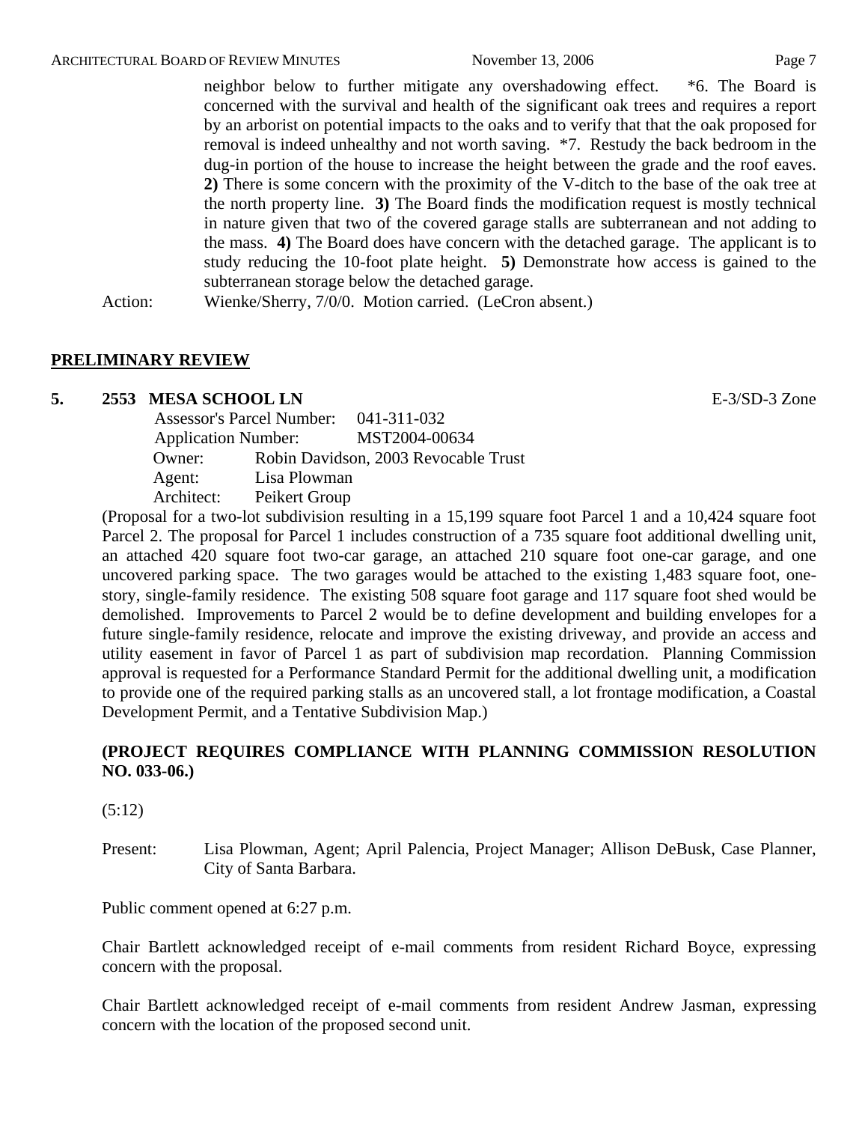neighbor below to further mitigate any overshadowing effect. \*6. The Board is concerned with the survival and health of the significant oak trees and requires a report by an arborist on potential impacts to the oaks and to verify that that the oak proposed for removal is indeed unhealthy and not worth saving. \*7. Restudy the back bedroom in the dug-in portion of the house to increase the height between the grade and the roof eaves. **2)** There is some concern with the proximity of the V-ditch to the base of the oak tree at the north property line. **3)** The Board finds the modification request is mostly technical in nature given that two of the covered garage stalls are subterranean and not adding to the mass. **4)** The Board does have concern with the detached garage. The applicant is to study reducing the 10-foot plate height. **5)** Demonstrate how access is gained to the subterranean storage below the detached garage.

Action: Wienke/Sherry, 7/0/0. Motion carried. (LeCron absent.)

## **PRELIMINARY REVIEW**

#### **5. 2553 MESA SCHOOL LN** E-3/SD-3 Zone

| <b>Assessor's Parcel Number:</b> |               | 041-311-032                          |
|----------------------------------|---------------|--------------------------------------|
| <b>Application Number:</b>       |               | MST2004-00634                        |
| Owner:                           |               | Robin Davidson, 2003 Revocable Trust |
| Agent:                           | Lisa Plowman  |                                      |
| Architect:                       | Peikert Group |                                      |

(Proposal for a two-lot subdivision resulting in a 15,199 square foot Parcel 1 and a 10,424 square foot Parcel 2. The proposal for Parcel 1 includes construction of a 735 square foot additional dwelling unit, an attached 420 square foot two-car garage, an attached 210 square foot one-car garage, and one uncovered parking space. The two garages would be attached to the existing 1,483 square foot, onestory, single-family residence. The existing 508 square foot garage and 117 square foot shed would be demolished. Improvements to Parcel 2 would be to define development and building envelopes for a future single-family residence, relocate and improve the existing driveway, and provide an access and utility easement in favor of Parcel 1 as part of subdivision map recordation. Planning Commission approval is requested for a Performance Standard Permit for the additional dwelling unit, a modification to provide one of the required parking stalls as an uncovered stall, a lot frontage modification, a Coastal Development Permit, and a Tentative Subdivision Map.)

## **(PROJECT REQUIRES COMPLIANCE WITH PLANNING COMMISSION RESOLUTION NO. 033-06.)**

(5:12)

Present: Lisa Plowman, Agent; April Palencia, Project Manager; Allison DeBusk, Case Planner, City of Santa Barbara.

Public comment opened at 6:27 p.m.

Chair Bartlett acknowledged receipt of e-mail comments from resident Richard Boyce, expressing concern with the proposal.

Chair Bartlett acknowledged receipt of e-mail comments from resident Andrew Jasman, expressing concern with the location of the proposed second unit.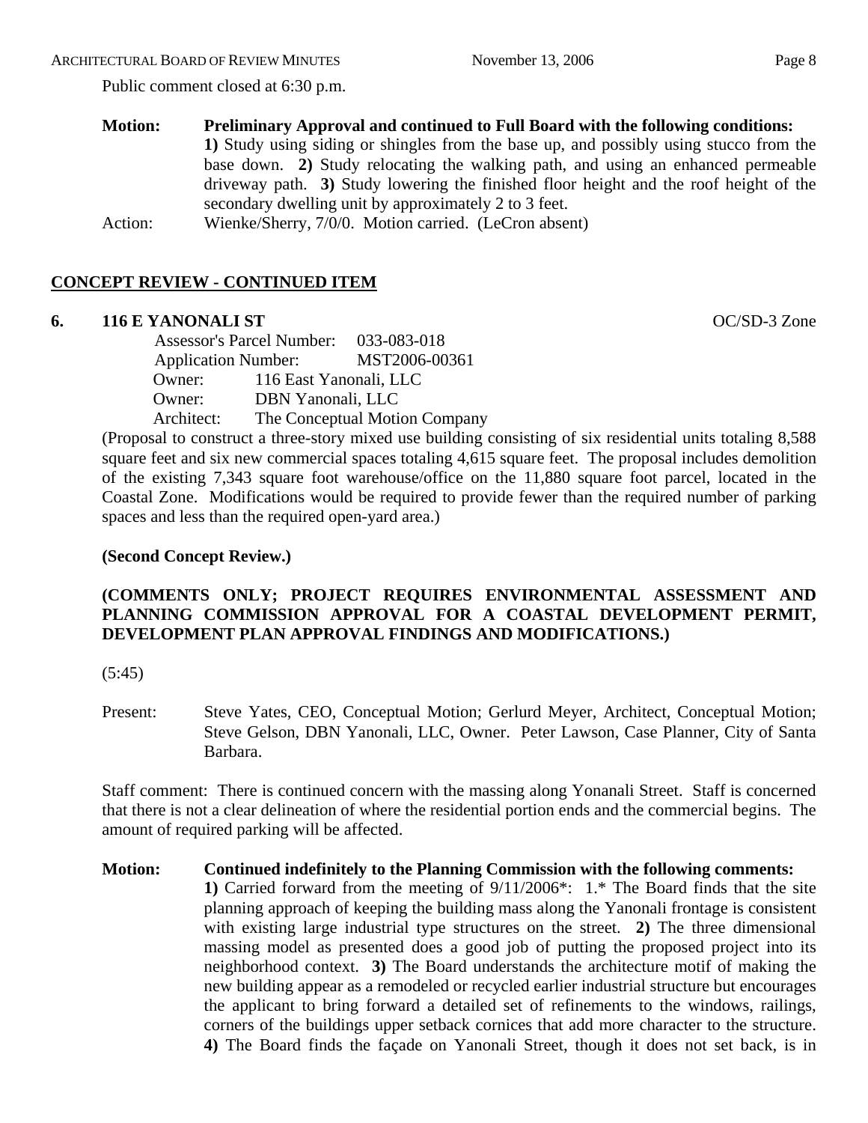#### ARCHITECTURAL BOARD OF REVIEW MINUTES November 13, 2006 Page 8

Public comment closed at 6:30 p.m.

**Motion: Preliminary Approval and continued to Full Board with the following conditions: 1)** Study using siding or shingles from the base up, and possibly using stucco from the base down. **2)** Study relocating the walking path, and using an enhanced permeable driveway path. **3)** Study lowering the finished floor height and the roof height of the secondary dwelling unit by approximately 2 to 3 feet. Action: Wienke/Sherry, 7/0/0. Motion carried. (LeCron absent)

# **CONCEPT REVIEW - CONTINUED ITEM**

## **6. 116 E YANONALI ST** OC/SD-3 Zone

 Assessor's Parcel Number: 033-083-018 Application Number: MST2006-00361 Owner: 116 East Yanonali, LLC Owner: DBN Yanonali, LLC Architect: The Conceptual Motion Company

(Proposal to construct a three-story mixed use building consisting of six residential units totaling 8,588 square feet and six new commercial spaces totaling 4,615 square feet. The proposal includes demolition of the existing 7,343 square foot warehouse/office on the 11,880 square foot parcel, located in the Coastal Zone. Modifications would be required to provide fewer than the required number of parking spaces and less than the required open-yard area.)

## **(Second Concept Review.)**

## **(COMMENTS ONLY; PROJECT REQUIRES ENVIRONMENTAL ASSESSMENT AND PLANNING COMMISSION APPROVAL FOR A COASTAL DEVELOPMENT PERMIT, DEVELOPMENT PLAN APPROVAL FINDINGS AND MODIFICATIONS.)**

 $(5:45)$ 

Present: Steve Yates, CEO, Conceptual Motion; Gerlurd Meyer, Architect, Conceptual Motion; Steve Gelson, DBN Yanonali, LLC, Owner. Peter Lawson, Case Planner, City of Santa Barbara.

Staff comment: There is continued concern with the massing along Yonanali Street. Staff is concerned that there is not a clear delineation of where the residential portion ends and the commercial begins. The amount of required parking will be affected.

**Motion: Continued indefinitely to the Planning Commission with the following comments: 1)** Carried forward from the meeting of 9/11/2006\*: 1.\* The Board finds that the site planning approach of keeping the building mass along the Yanonali frontage is consistent with existing large industrial type structures on the street. **2)** The three dimensional massing model as presented does a good job of putting the proposed project into its neighborhood context. **3)** The Board understands the architecture motif of making the new building appear as a remodeled or recycled earlier industrial structure but encourages the applicant to bring forward a detailed set of refinements to the windows, railings, corners of the buildings upper setback cornices that add more character to the structure. **4)** The Board finds the façade on Yanonali Street, though it does not set back, is in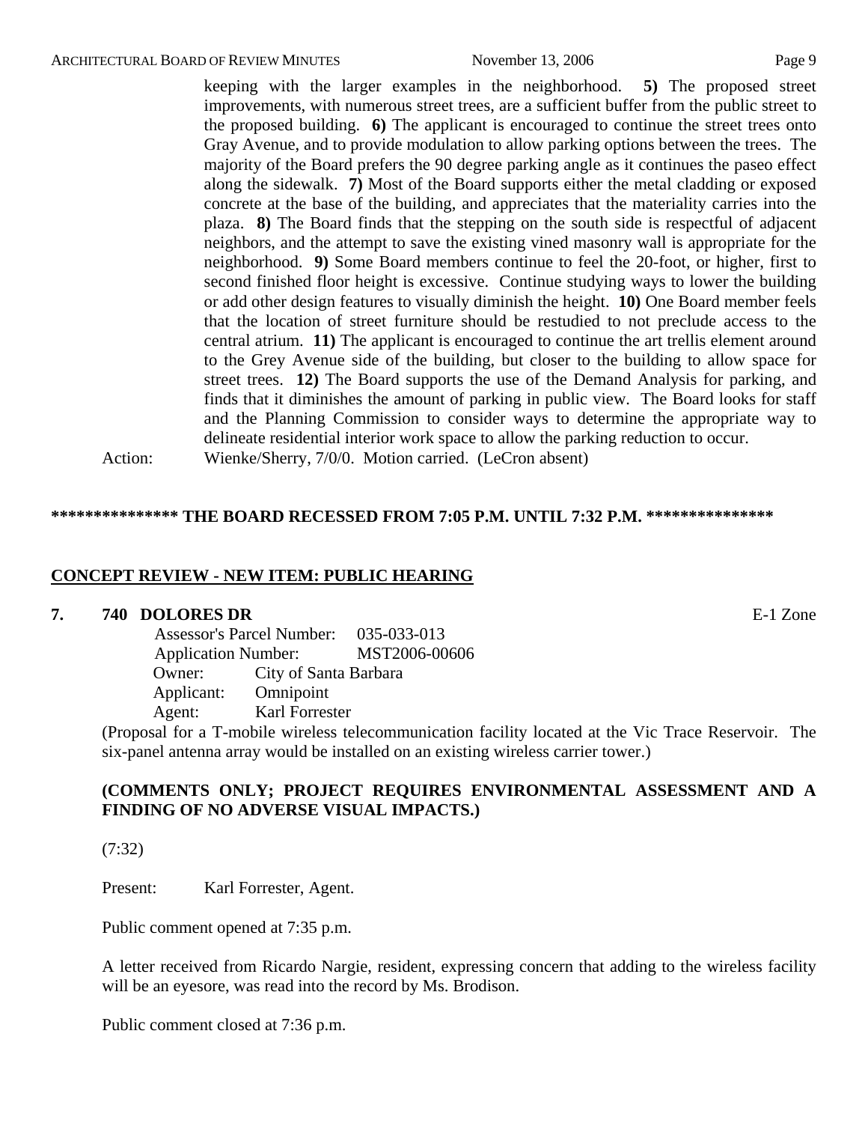keeping with the larger examples in the neighborhood. **5)** The proposed street improvements, with numerous street trees, are a sufficient buffer from the public street to the proposed building. **6)** The applicant is encouraged to continue the street trees onto Gray Avenue, and to provide modulation to allow parking options between the trees. The majority of the Board prefers the 90 degree parking angle as it continues the paseo effect along the sidewalk. **7)** Most of the Board supports either the metal cladding or exposed concrete at the base of the building, and appreciates that the materiality carries into the plaza. **8)** The Board finds that the stepping on the south side is respectful of adjacent neighbors, and the attempt to save the existing vined masonry wall is appropriate for the neighborhood. **9)** Some Board members continue to feel the 20-foot, or higher, first to second finished floor height is excessive. Continue studying ways to lower the building or add other design features to visually diminish the height. **10)** One Board member feels that the location of street furniture should be restudied to not preclude access to the central atrium. **11)** The applicant is encouraged to continue the art trellis element around to the Grey Avenue side of the building, but closer to the building to allow space for street trees. **12)** The Board supports the use of the Demand Analysis for parking, and finds that it diminishes the amount of parking in public view. The Board looks for staff and the Planning Commission to consider ways to determine the appropriate way to delineate residential interior work space to allow the parking reduction to occur. Action: Wienke/Sherry, 7/0/0. Motion carried. (LeCron absent)

#### **\*\*\*\*\*\*\*\*\*\*\*\*\*\*\* THE BOARD RECESSED FROM 7:05 P.M. UNTIL 7:32 P.M. \*\*\*\*\*\*\*\*\*\*\*\*\*\*\***

#### **CONCEPT REVIEW - NEW ITEM: PUBLIC HEARING**

#### **7. 740 DOLORES DR** E-1 Zone

 Assessor's Parcel Number: 035-033-013 Application Number: MST2006-00606 Owner: City of Santa Barbara Applicant: Omnipoint Agent: Karl Forrester

(Proposal for a T-mobile wireless telecommunication facility located at the Vic Trace Reservoir. The six-panel antenna array would be installed on an existing wireless carrier tower.)

## **(COMMENTS ONLY; PROJECT REQUIRES ENVIRONMENTAL ASSESSMENT AND A FINDING OF NO ADVERSE VISUAL IMPACTS.)**

(7:32)

Present: Karl Forrester, Agent.

Public comment opened at 7:35 p.m.

A letter received from Ricardo Nargie, resident, expressing concern that adding to the wireless facility will be an eyesore, was read into the record by Ms. Brodison.

Public comment closed at 7:36 p.m.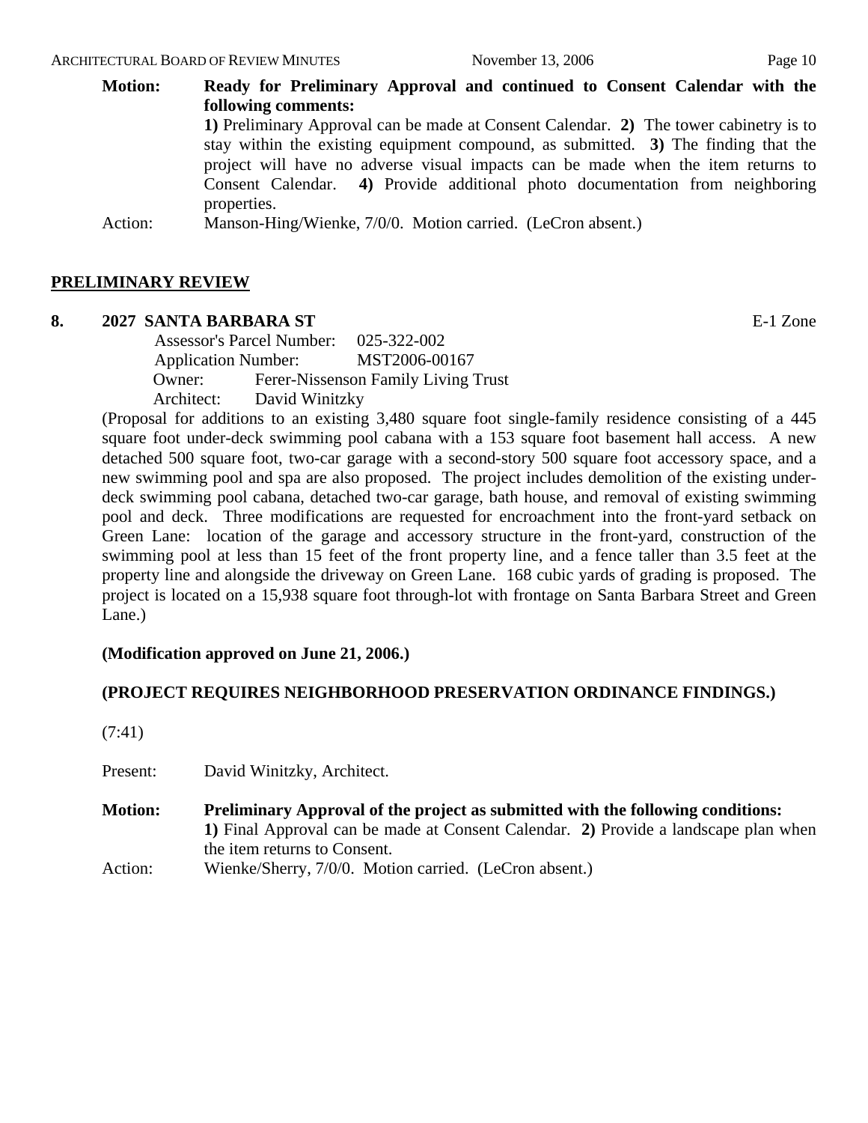#### ARCHITECTURAL BOARD OF REVIEW MINUTES November 13, 2006 Page 10

**Motion: Ready for Preliminary Approval and continued to Consent Calendar with the following comments: 1)** Preliminary Approval can be made at Consent Calendar. **2)** The tower cabinetry is to stay within the existing equipment compound, as submitted. **3)** The finding that the project will have no adverse visual impacts can be made when the item returns to Consent Calendar. **4)** Provide additional photo documentation from neighboring properties.

Action: Manson-Hing/Wienke, 7/0/0. Motion carried. (LeCron absent.)

#### **PRELIMINARY REVIEW**

#### **8. 2027 SANTA BARBARA ST** E-1 Zone

 Assessor's Parcel Number: 025-322-002 Application Number: MST2006-00167 Owner: Ferer-Nissenson Family Living Trust Architect: David Winitzky

(Proposal for additions to an existing 3,480 square foot single-family residence consisting of a 445 square foot under-deck swimming pool cabana with a 153 square foot basement hall access. A new detached 500 square foot, two-car garage with a second-story 500 square foot accessory space, and a new swimming pool and spa are also proposed. The project includes demolition of the existing underdeck swimming pool cabana, detached two-car garage, bath house, and removal of existing swimming pool and deck. Three modifications are requested for encroachment into the front-yard setback on Green Lane: location of the garage and accessory structure in the front-yard, construction of the swimming pool at less than 15 feet of the front property line, and a fence taller than 3.5 feet at the property line and alongside the driveway on Green Lane. 168 cubic yards of grading is proposed. The project is located on a 15,938 square foot through-lot with frontage on Santa Barbara Street and Green Lane.)

#### **(Modification approved on June 21, 2006.)**

#### **(PROJECT REQUIRES NEIGHBORHOOD PRESERVATION ORDINANCE FINDINGS.)**

(7:41)

Present: David Winitzky, Architect.

- **Motion: Preliminary Approval of the project as submitted with the following conditions: 1)** Final Approval can be made at Consent Calendar. **2)** Provide a landscape plan when the item returns to Consent.
- Action: Wienke/Sherry, 7/0/0. Motion carried. (LeCron absent.)

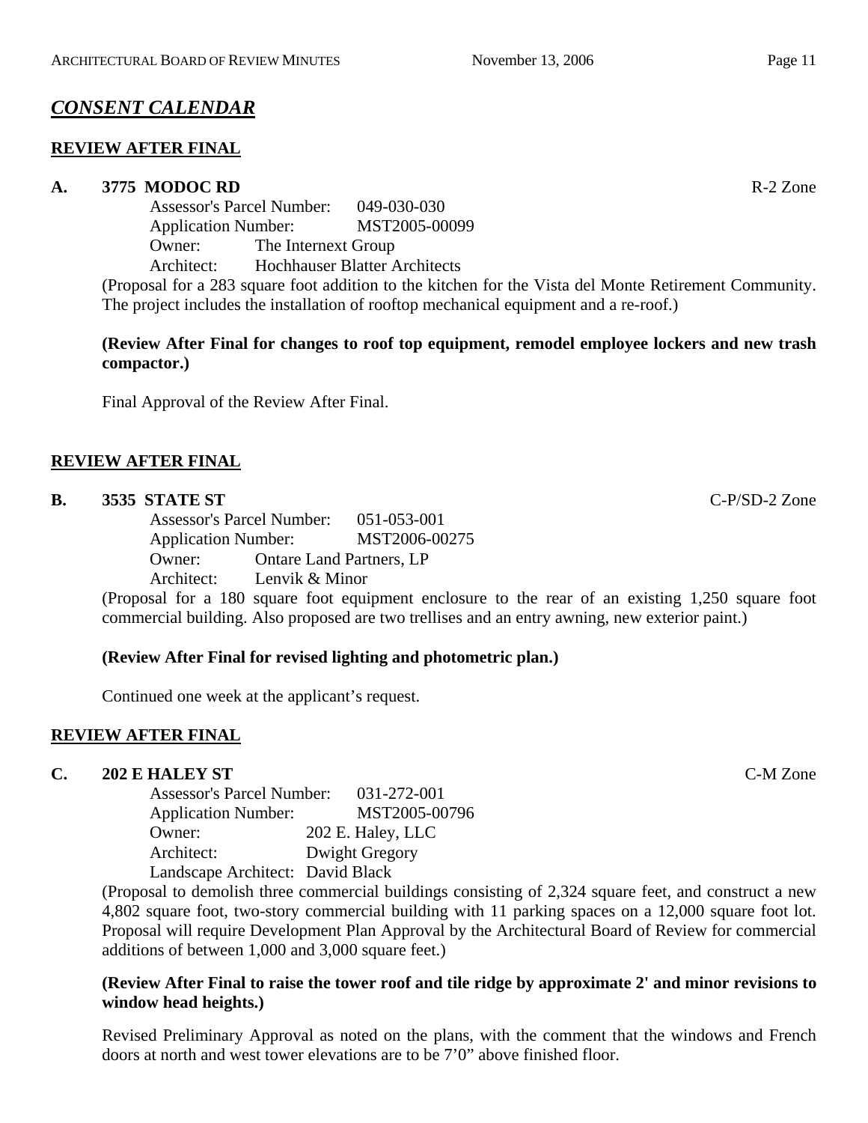# *CONSENT CALENDAR*

## **REVIEW AFTER FINAL**

## **A. 3775 MODOC RD** R-2 Zone

Assessor's Parcel Number: 049-030-030 Application Number: MST2005-00099 Owner: The Internext Group Architect: Hochhauser Blatter Architects

(Proposal for a 283 square foot addition to the kitchen for the Vista del Monte Retirement Community. The project includes the installation of rooftop mechanical equipment and a re-roof.)

## **(Review After Final for changes to roof top equipment, remodel employee lockers and new trash compactor.)**

Final Approval of the Review After Final.

# **REVIEW AFTER FINAL**

## **B. 3535 STATE ST** C-P/SD-2 Zone

Assessor's Parcel Number: 051-053-001 Application Number: MST2006-00275 Owner: Ontare Land Partners, LP Architect: Lenvik & Minor

(Proposal for a 180 square foot equipment enclosure to the rear of an existing 1,250 square foot commercial building. Also proposed are two trellises and an entry awning, new exterior paint.)

## **(Review After Final for revised lighting and photometric plan.)**

Continued one week at the applicant's request.

## **REVIEW AFTER FINAL**

## **C. 202 E HALEY ST** C-M Zone

| <b>Assessor's Parcel Number:</b> | 031-272-001       |
|----------------------------------|-------------------|
| <b>Application Number:</b>       | MST2005-00796     |
| Owner:                           | 202 E. Haley, LLC |
| Architect:                       | Dwight Gregory    |
| Landscape Architect: David Black |                   |

(Proposal to demolish three commercial buildings consisting of 2,324 square feet, and construct a new 4,802 square foot, two-story commercial building with 11 parking spaces on a 12,000 square foot lot. Proposal will require Development Plan Approval by the Architectural Board of Review for commercial additions of between 1,000 and 3,000 square feet.)

## **(Review After Final to raise the tower roof and tile ridge by approximate 2' and minor revisions to window head heights.)**

Revised Preliminary Approval as noted on the plans, with the comment that the windows and French doors at north and west tower elevations are to be 7'0" above finished floor.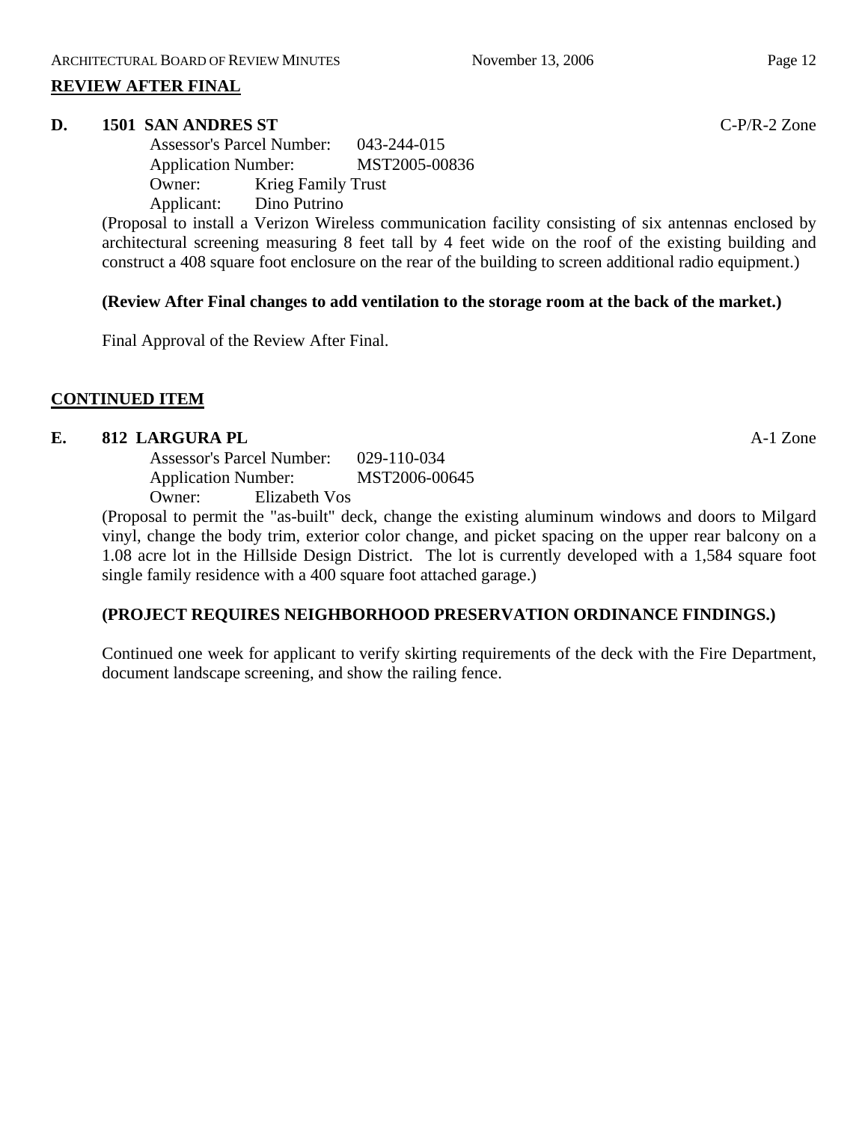## **REVIEW AFTER FINAL**

#### **D. 1501 SAN ANDRES ST** C-P/R-2 Zone

Assessor's Parcel Number: 043-244-015 Application Number: MST2005-00836 Owner: Krieg Family Trust Applicant: Dino Putrino

(Proposal to install a Verizon Wireless communication facility consisting of six antennas enclosed by architectural screening measuring 8 feet tall by 4 feet wide on the roof of the existing building and construct a 408 square foot enclosure on the rear of the building to screen additional radio equipment.)

## **(Review After Final changes to add ventilation to the storage room at the back of the market.)**

Final Approval of the Review After Final.

# **CONTINUED ITEM**

## **E.** 812 LARGURA PL **A-1** Zone

Assessor's Parcel Number: 029-110-034 Application Number: MST2006-00645 Owner: Elizabeth Vos

(Proposal to permit the "as-built" deck, change the existing aluminum windows and doors to Milgard vinyl, change the body trim, exterior color change, and picket spacing on the upper rear balcony on a 1.08 acre lot in the Hillside Design District. The lot is currently developed with a 1,584 square foot single family residence with a 400 square foot attached garage.)

## **(PROJECT REQUIRES NEIGHBORHOOD PRESERVATION ORDINANCE FINDINGS.)**

Continued one week for applicant to verify skirting requirements of the deck with the Fire Department, document landscape screening, and show the railing fence.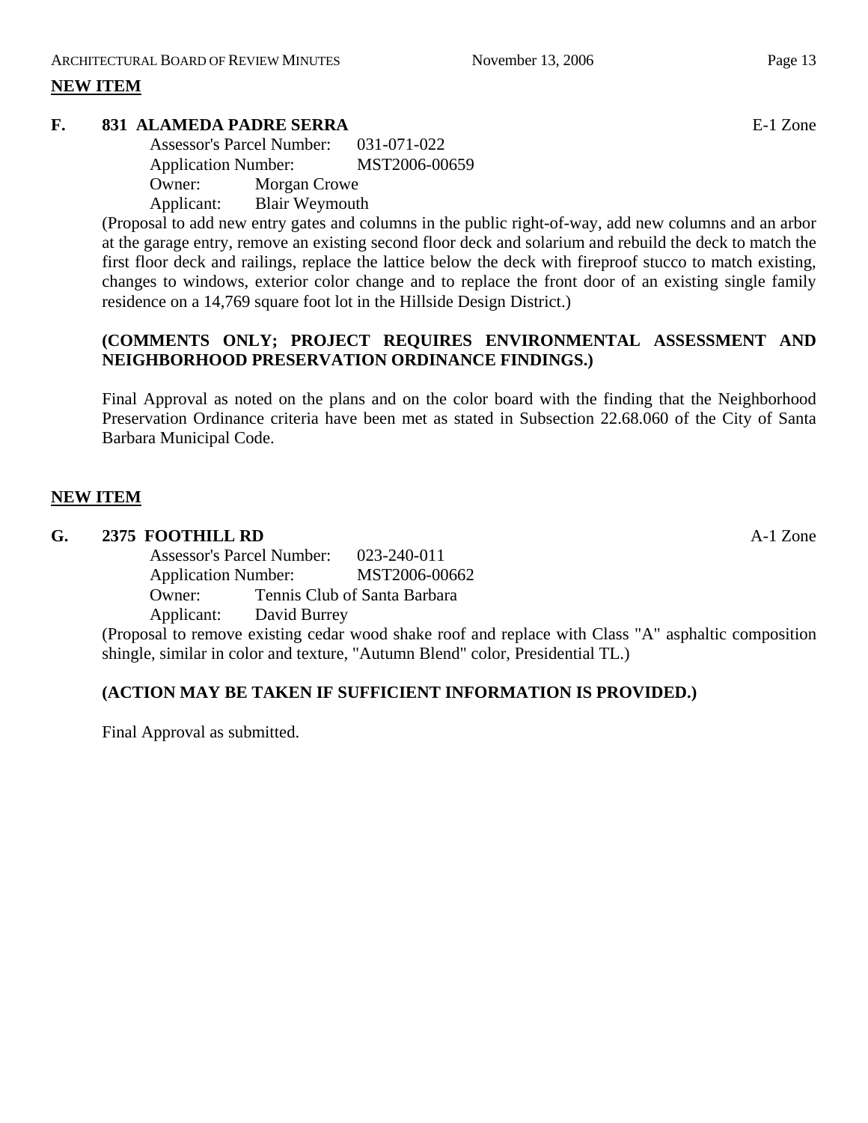# **NEW ITEM**

## **F. 831 ALAMEDA PADRE SERRA** E-1 Zone

Assessor's Parcel Number: 031-071-022 Application Number: MST2006-00659 Owner: Morgan Crowe Applicant: Blair Weymouth

(Proposal to add new entry gates and columns in the public right-of-way, add new columns and an arbor at the garage entry, remove an existing second floor deck and solarium and rebuild the deck to match the first floor deck and railings, replace the lattice below the deck with fireproof stucco to match existing, changes to windows, exterior color change and to replace the front door of an existing single family residence on a 14,769 square foot lot in the Hillside Design District.)

## **(COMMENTS ONLY; PROJECT REQUIRES ENVIRONMENTAL ASSESSMENT AND NEIGHBORHOOD PRESERVATION ORDINANCE FINDINGS.)**

Final Approval as noted on the plans and on the color board with the finding that the Neighborhood Preservation Ordinance criteria have been met as stated in Subsection 22.68.060 of the City of Santa Barbara Municipal Code.

# **NEW ITEM**

## **G. 2375 FOOTHILL RD** A-1 Zone

Assessor's Parcel Number: 023-240-011 Application Number: MST2006-00662 Owner: Tennis Club of Santa Barbara Applicant: David Burrey

(Proposal to remove existing cedar wood shake roof and replace with Class "A" asphaltic composition shingle, similar in color and texture, "Autumn Blend" color, Presidential TL.)

# **(ACTION MAY BE TAKEN IF SUFFICIENT INFORMATION IS PROVIDED.)**

Final Approval as submitted.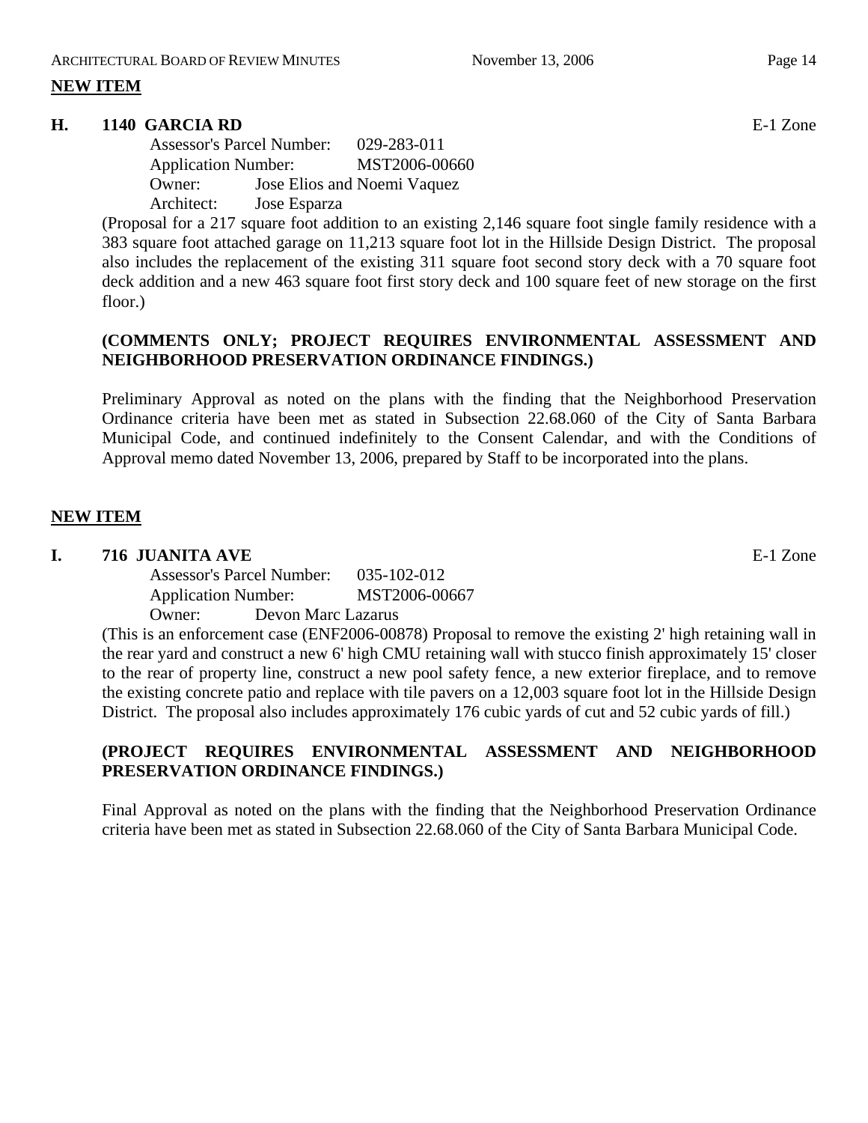# **NEW ITEM**

## **H. 1140 GARCIA RD** E-1 Zone

Assessor's Parcel Number: 029-283-011 Application Number: MST2006-00660 Owner: Jose Elios and Noemi Vaquez Architect: Jose Esparza

(Proposal for a 217 square foot addition to an existing 2,146 square foot single family residence with a 383 square foot attached garage on 11,213 square foot lot in the Hillside Design District. The proposal also includes the replacement of the existing 311 square foot second story deck with a 70 square foot deck addition and a new 463 square foot first story deck and 100 square feet of new storage on the first floor.)

## **(COMMENTS ONLY; PROJECT REQUIRES ENVIRONMENTAL ASSESSMENT AND NEIGHBORHOOD PRESERVATION ORDINANCE FINDINGS.)**

Preliminary Approval as noted on the plans with the finding that the Neighborhood Preservation Ordinance criteria have been met as stated in Subsection 22.68.060 of the City of Santa Barbara Municipal Code, and continued indefinitely to the Consent Calendar, and with the Conditions of Approval memo dated November 13, 2006, prepared by Staff to be incorporated into the plans.

## **NEW ITEM**

## **I. 716 JUANITA AVE** E-1 Zone

Assessor's Parcel Number: 035-102-012 Application Number: MST2006-00667 Owner: Devon Marc Lazarus

(This is an enforcement case (ENF2006-00878) Proposal to remove the existing 2' high retaining wall in the rear yard and construct a new 6' high CMU retaining wall with stucco finish approximately 15' closer to the rear of property line, construct a new pool safety fence, a new exterior fireplace, and to remove the existing concrete patio and replace with tile pavers on a 12,003 square foot lot in the Hillside Design District. The proposal also includes approximately 176 cubic yards of cut and 52 cubic yards of fill.)

# **(PROJECT REQUIRES ENVIRONMENTAL ASSESSMENT AND NEIGHBORHOOD PRESERVATION ORDINANCE FINDINGS.)**

Final Approval as noted on the plans with the finding that the Neighborhood Preservation Ordinance criteria have been met as stated in Subsection 22.68.060 of the City of Santa Barbara Municipal Code.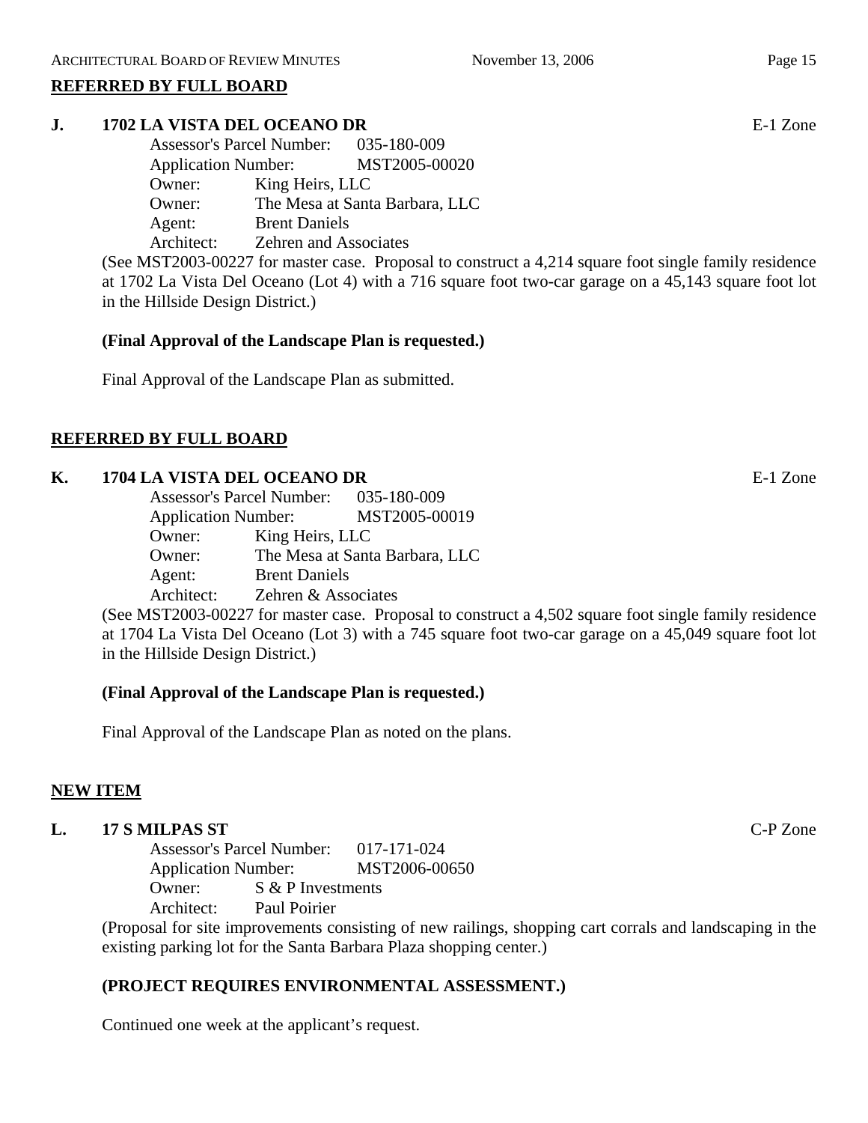## **REFERRED BY FULL BOARD**

# **J. 1702 LA VISTA DEL OCEANO DR** E-1 Zone

Assessor's Parcel Number: 035-180-009 Application Number: MST2005-00020 Owner: King Heirs, LLC Owner: The Mesa at Santa Barbara, LLC Agent: Brent Daniels Architect: Zehren and Associates

(See MST2003-00227 for master case. Proposal to construct a 4,214 square foot single family residence at 1702 La Vista Del Oceano (Lot 4) with a 716 square foot two-car garage on a 45,143 square foot lot in the Hillside Design District.)

## **(Final Approval of the Landscape Plan is requested.)**

Final Approval of the Landscape Plan as submitted.

# **REFERRED BY FULL BOARD**

# **K. 1704 LA VISTA DEL OCEANO DR** E-1 Zone

| <b>Assessor's Parcel Number:</b> |                      | 035-180-009                    |
|----------------------------------|----------------------|--------------------------------|
| <b>Application Number:</b>       |                      | MST2005-00019                  |
| Owner:                           | King Heirs, LLC      |                                |
| Owner:                           |                      | The Mesa at Santa Barbara, LLC |
| Agent:                           | <b>Brent Daniels</b> |                                |
| Architect:                       | Zehren & Associates  |                                |

(See MST2003-00227 for master case. Proposal to construct a 4,502 square foot single family residence at 1704 La Vista Del Oceano (Lot 3) with a 745 square foot two-car garage on a 45,049 square foot lot in the Hillside Design District.)

# **(Final Approval of the Landscape Plan is requested.)**

Final Approval of the Landscape Plan as noted on the plans.

# **NEW ITEM**

# **L. 17 S MILPAS ST** C-P Zone

Assessor's Parcel Number: 017-171-024 Application Number: MST2006-00650 Owner: S & P Investments Architect: Paul Poirier

(Proposal for site improvements consisting of new railings, shopping cart corrals and landscaping in the existing parking lot for the Santa Barbara Plaza shopping center.)

# **(PROJECT REQUIRES ENVIRONMENTAL ASSESSMENT.)**

Continued one week at the applicant's request.